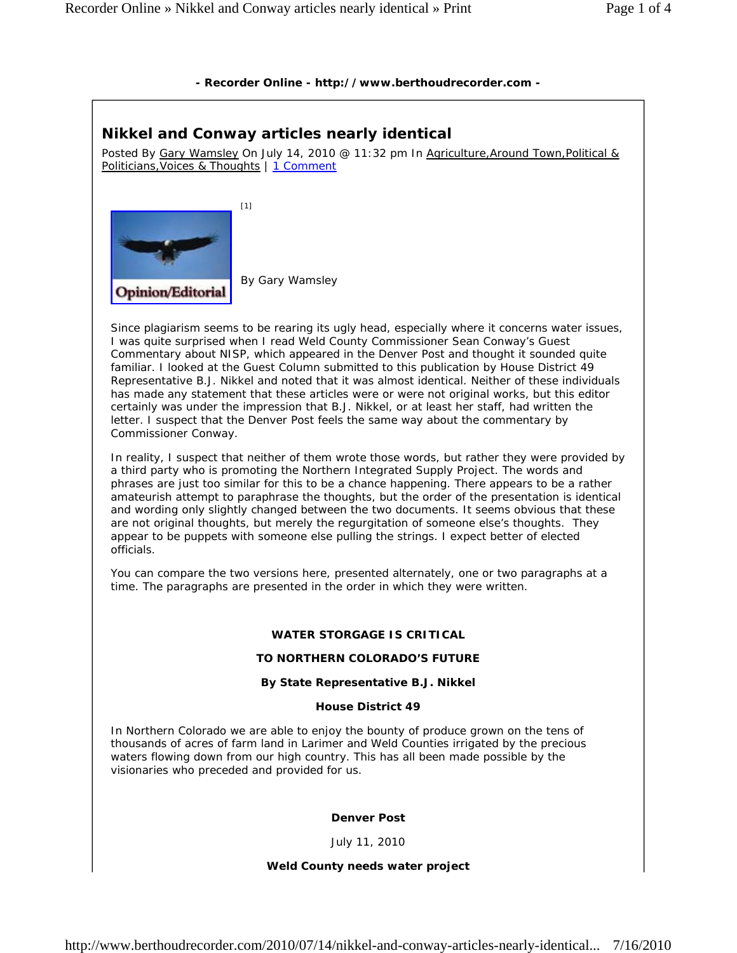# **- Recorder Online - http://www.berthoudrecorder.com -**

# **Nikkel and Conway articles nearly identical**

Posted By Gary Wamsley On July 14, 2010 @ 11:32 pm In Agriculture, Around Town, Political & Politicians, Voices & Thoughts | 1 Comment



Since plagiarism seems to be rearing its ugly head, especially where it concerns water issues, I was quite surprised when I read Weld County Commissioner Sean Conway's Guest Commentary about NISP, which appeared in the Denver Post and thought it sounded quite familiar. I looked at the Guest Column submitted to this publication by House District 49 Representative B.J. Nikkel and noted that it was almost identical. Neither of these individuals has made any statement that these articles were or were not original works, but this editor certainly was under the impression that B.J. Nikkel, or at least her staff, had written the letter. I suspect that the Denver Post feels the same way about the commentary by Commissioner Conway.

In reality, I suspect that neither of them wrote those words, but rather they were provided by a third party who is promoting the Northern Integrated Supply Project. The words and phrases are just too similar for this to be a chance happening. There appears to be a rather amateurish attempt to paraphrase the thoughts, but the order of the presentation is identical and wording only slightly changed between the two documents. It seems obvious that these are not original thoughts, but merely the regurgitation of someone else's thoughts. They appear to be puppets with someone else pulling the strings. I expect better of elected officials.

You can compare the two versions here, presented alternately, one or two paragraphs at a time. The paragraphs are presented in the order in which they were written.

# **WATER STORGAGE IS CRITICAL**

# **TO NORTHERN COLORADO'S FUTURE**

# **By State Representative B.J. Nikkel**

# **House District 49**

In Northern Colorado we are able to enjoy the bounty of produce grown on the tens of thousands of acres of farm land in Larimer and Weld Counties irrigated by the precious waters flowing down from our high country. This has all been made possible by the visionaries who preceded and provided for us.

# *Denver Post*

July 11, 2010

# **Weld County needs water project**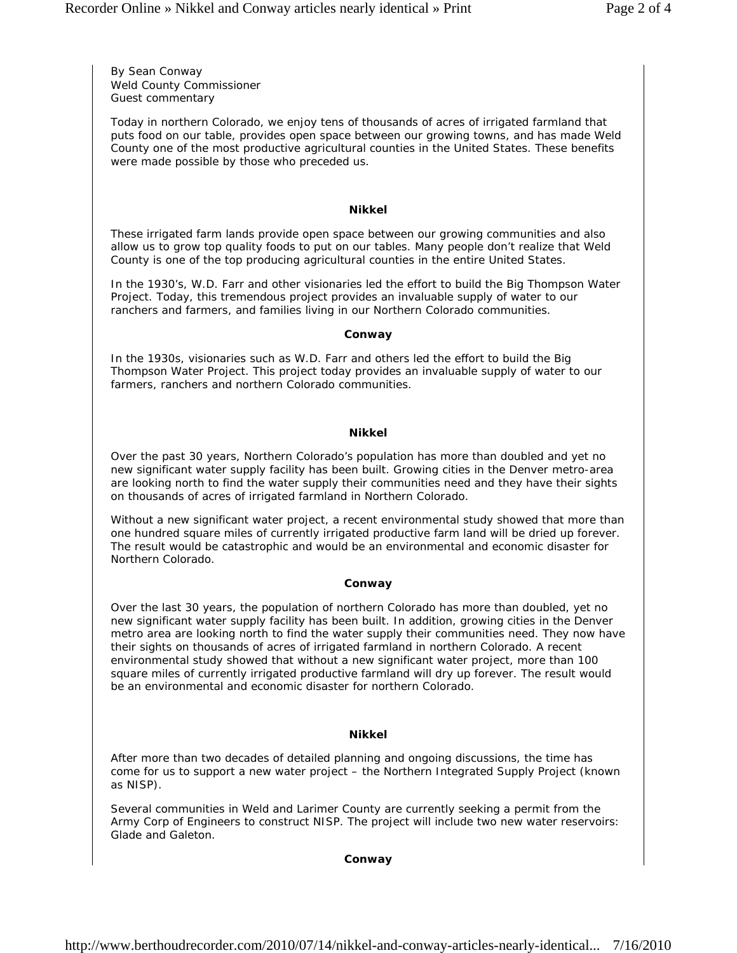*By Sean Conway Weld County Commissioner Guest commentary*

*Today in northern Colorado, we enjoy tens of thousands of acres of irrigated farmland that puts food on our table, provides open space between our growing towns, and has made Weld County one of the most productive agricultural counties in the United States. These benefits were made possible by those who preceded us.*

#### **Nikkel**

These irrigated farm lands provide open space between our growing communities and also allow us to grow top quality foods to put on our tables. Many people don't realize that Weld County is one of the top producing agricultural counties in the entire United States.

In the 1930's, W.D. Farr and other visionaries led the effort to build the Big Thompson Water Project. Today, this tremendous project provides an invaluable supply of water to our ranchers and farmers, and families living in our Northern Colorado communities.

#### *Conway*

*In the 1930s, visionaries such as W.D. Farr and others led the effort to build the Big Thompson Water Project. This project today provides an invaluable supply of water to our farmers, ranchers and northern Colorado communities.*

### **Nikkel**

Over the past 30 years, Northern Colorado's population has more than doubled and yet no new significant water supply facility has been built. Growing cities in the Denver metro-area are looking north to find the water supply their communities need and they have their sights on thousands of acres of irrigated farmland in Northern Colorado.

Without a new significant water project, a recent environmental study showed that more than one hundred square miles of currently irrigated productive farm land will be dried up forever. The result would be catastrophic and would be an environmental and economic disaster for Northern Colorado.

#### *Conway*

*Over the last 30 years, the population of northern Colorado has more than doubled, yet no new significant water supply facility has been built. In addition, growing cities in the Denver metro area are looking north to find the water supply their communities need. They now have their sights on thousands of acres of irrigated farmland in northern Colorado. A recent environmental study showed that without a new significant water project, more than 100 square miles of currently irrigated productive farmland will dry up forever. The result would be an environmental and economic disaster for northern Colorado.*

### **Nikkel**

After more than two decades of detailed planning and ongoing discussions, the time has come for us to support a new water project – the Northern Integrated Supply Project (known as NISP).

Several communities in Weld and Larimer County are currently seeking a permit from the Army Corp of Engineers to construct NISP. The project will include two new water reservoirs: Glade and Galeton.

#### *Conway*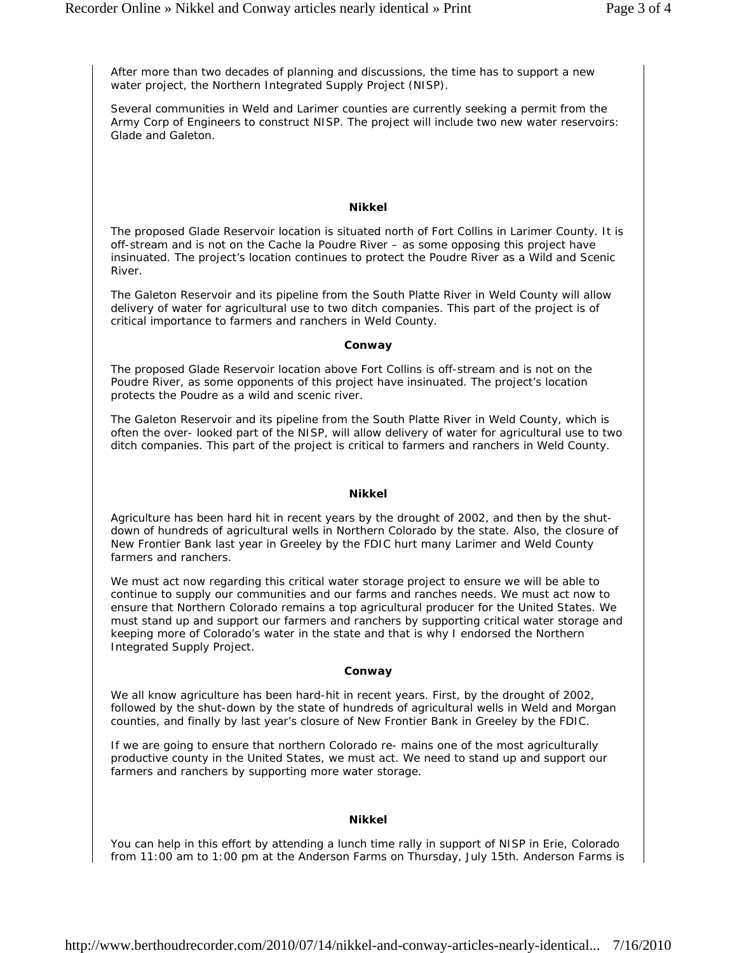*After more than two decades of planning and discussions, the time has to support a new water project, the Northern Integrated Supply Project (NISP).*

*Several communities in Weld and Larimer counties are currently seeking a permit from the Army Corp of Engineers to construct NISP. The project will include two new water reservoirs: Glade and Galeton.*

#### **Nikkel**

The proposed Glade Reservoir location is situated north of Fort Collins in Larimer County. It is off-stream and is not on the Cache la Poudre River – as some opposing this project have insinuated. The project's location continues to protect the Poudre River as a Wild and Scenic River.

The Galeton Reservoir and its pipeline from the South Platte River in Weld County will allow delivery of water for agricultural use to two ditch companies. This part of the project is of critical importance to farmers and ranchers in Weld County.

#### *Conway*

*The proposed Glade Reservoir location above Fort Collins is off-stream and is not on the Poudre River, as some opponents of this project have insinuated. The project's location protects the Poudre as a wild and scenic river.*

*The Galeton Reservoir and its pipeline from the South Platte River in Weld County, which is often the over- looked part of the NISP, will allow delivery of water for agricultural use to two ditch companies. This part of the project is critical to farmers and ranchers in Weld County.*

### **Nikkel**

Agriculture has been hard hit in recent years by the drought of 2002, and then by the shutdown of hundreds of agricultural wells in Northern Colorado by the state. Also, the closure of New Frontier Bank last year in Greeley by the FDIC hurt many Larimer and Weld County farmers and ranchers.

We must act now regarding this critical water storage project to ensure we will be able to continue to supply our communities and our farms and ranches needs. We must act now to ensure that Northern Colorado remains a top agricultural producer for the United States. We must stand up and support our farmers and ranchers by supporting critical water storage and keeping more of Colorado's water in the state and that is why I endorsed the Northern Integrated Supply Project.

#### *Conway*

*We all know agriculture has been hard-hit in recent years. First, by the drought of 2002, followed by the shut-down by the state of hundreds of agricultural wells in Weld and Morgan counties, and finally by last year's closure of New Frontier Bank in Greeley by the FDIC.*

*If we are going to ensure that northern Colorado re- mains one of the most agriculturally productive county in the United States, we must act. We need to stand up and support our farmers and ranchers by supporting more water storage.*

#### **Nikkel**

You can help in this effort by attending a lunch time rally in support of NISP in Erie, Colorado from 11:00 am to 1:00 pm at the Anderson Farms on Thursday, July 15th. Anderson Farms is